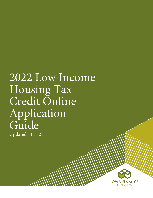# 2022 Low Income Housing Tax Credit Online Application Guide Updated 11-3-21

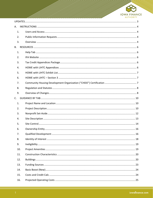

| А. |     |  |
|----|-----|--|
|    | 1.  |  |
|    | 2.  |  |
|    | 3.  |  |
| B. |     |  |
|    | 1.  |  |
|    | 2.  |  |
|    | 3.  |  |
|    | 4.  |  |
|    | 5.  |  |
|    | 6.  |  |
|    | 7.  |  |
|    | 8.  |  |
|    | 9.  |  |
| C. |     |  |
|    | 1.  |  |
|    | 2.  |  |
|    | 3.  |  |
|    | 4.  |  |
|    | 5.  |  |
|    | 6.  |  |
|    | 7.  |  |
|    | 8.  |  |
|    | 9.  |  |
|    | 10. |  |
|    | 11. |  |
|    | 12. |  |
|    | 13. |  |
|    | 14. |  |
|    | 15. |  |
|    | 16. |  |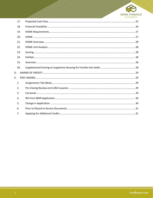

|    | 17. |  |
|----|-----|--|
|    | 18. |  |
|    | 19. |  |
|    | 20. |  |
|    | 21. |  |
|    | 22. |  |
|    | 23. |  |
|    | 24. |  |
|    | 25. |  |
|    | 26. |  |
| D. |     |  |
| E. |     |  |
|    | 1.  |  |
|    | 2.  |  |
|    | 3.  |  |
|    | 4.  |  |
|    | 5.  |  |
|    | 6.  |  |
|    | 7.  |  |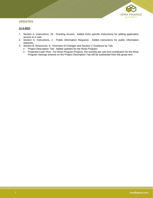

# <span id="page-3-0"></span>**UPDATES**

# **11-3-2021**

- 1. Section A. Instructions, 1b Granting Access: Added more specific instructions for adding application access to a user.
- 2. Section A. Instructions, 2 Public Information Requests: Added instructions for public information requests.
- 3. Section B. Resources, 9 Overview of Changes and Section C Guidance by Tab:
	- Project Description Tab: Added updates for the Rose Program<br>• Projected Cash Flow: For Rose Program Projects the monthly in
	- Projected Cash Flow: For Rose Program Projects, the monthly per unit rent contribution for the Rose Program Savings entered on the Project Description Tab will be subtracted from the gross rent.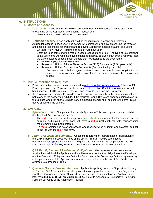

# <span id="page-4-1"></span><span id="page-4-0"></span>**A. INSTRUCTIONS**

# **1. Users and Access**

- *a. Username.* All users must have own username. Username requests shall be submitted through the online Application by selecting "request one".
	- ✓ Username and passwords must not be shared.
- **b.** Granting Access. Each Applicant shall be responsible for granting and removing Application access to each user. The person who creates the Application shall be the "creator" and shall be responsible for granting and removing Application access to authorized users.
	- Go under View, MyIFA Account, and select "Add new User".
	- Enter the user name and the type of access (specific to the role). The type of role assigned to the user name will restrict the type of access that may be given. If an error is received, then the type of access doesn't match the role that IFA assigned to the user name.
		- Review Applications (reviewer role)
		- Review and Upload Prior to Placed in Service ("PIS) Documents (PIS Upload role)
		- Review and Upload Construction Documents (Construction Upload role)
			- ✓ IFA recommends that a regular review of users' access to each Application be completed by Applicants. When staff leave, be sure to remove their application access.

# <span id="page-4-2"></span>**2. Public Information Requests**

- Public information requests may be emailed to [publicrecords@iowafinance.com](mailto:publicrecords@iowafinance.com) following IFA Board approval of the 9% award or after issuance of a Section 42M letter for 4% tax-exempt bond financed LIHTC Projects. Refer to [Public Records Policy](https://www.iowafinance.com/public-records-policy/) on the IFA website.
- It is IFA's standard practice to provide records reviewer access only to the application itself and not to any of the associated exhibits. If the requestor would like to see specific exhibits listed in the Exhibits Checklist on the Exhibits Tab, a subsequent email shall be sent to the email listed above specifying the exhibits.

#### <span id="page-4-3"></span>**3. Overview**

- *a. Application Tabs.* Complete entry of each Application Tab, save, upload required exhibits to the threshold Application, and submit.
	- The red  $X$  on each Tab will change to a green check mark when all information is entered correctly and saved. Some Tabs will have a red  $X$  until each tab with corresponding requirements have been entered.
	- If a red X remains and no error message was received when "Submit" was selected, go back to the tab with the red  $X$  and save.
- **b.** Prior to Application Submittal. Questions regarding an interpretation or clarification of the QAP or policies/procedures/rules of the LIHTC Program may be submitted to [housingtaxcredits@iowafinance.com.](mailto:housingtaxcredits@iowafinance.com) The questions and answers will be placed on the 2022 LIHTC webpage. Refer to QAP Part A., Section 3.2.1 - Prior to Application Submittal.
- *c. QAP Part B, Section 9.2 – Binding Obligations.* The representations made in the Application shall bind the Applicant and shall become a contractual obligation of the Developer and the Ownership Entity and any Entity the Developer or the Ownership Entity is representing in the presentation of the Application or a successor in interest in the event Tax Credits are awarded to a proposed Project.
- *d. Qualified Service Provider Request.* Applicants applying under the Supportive Housing for Families Set-Aside shall submit the qualified service provider request for each Project on Qualified Development Team - Qualified Service Provider Tab in each online Application no later than **4:30 p.m. C.S.T. on March 30, 2022.** Refer to Appendix A - Supportive Housing for Families Set-Aside of the Application Package.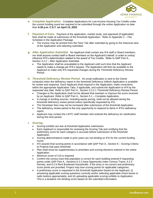

- *e. Complete Application.* Complete Applications for Low-Income Housing Tax Credits under the current funding round are required to be submitted through the online Application no later than **4:30 p.m. C.S.T. on April 13, 2022**.
- *f. Payment of Fees.* Payment of the application, market study, and appraisal (if applicable) fees shall be made at submission of the threshold Application. Refer to Appendix C – Fee Schedule in the Application Package.
	- The invoice may be printed from the Fees Tab after submittal by going to the historical view of the Application and selecting submitted.
- *g. After Application Submittal.* No Applicant shall contact any IFA staff or Board members, nor shall anyone contact staff or Board members on the Applicant's behalf, in order to unduly influence IFA's determination related to the award of Tax Credits. Refer to QAP Part A., Section 3.2.2 – After Application Submittal.
	- The Application shall be unavailable to the Applicant until such time that the Applicant needs to make a change per IFA's request. The Application will then be available to the Applicant to make only IFA requested changes during the Threshold Deficiency Review Period.
- *h. Threshold Deficiency Review Period.* An email notification is sent to the Owner contact(s) when the deficiency report in the threshold Deficiency InWork Application is available for review and response. Each Applicant shall respond in the Application, make corrections within the appropriate Application Tabs, if applicable, and submit the Application to IFA by the requested due date. Refer to QAP Part A., Section 3.3.2.1 Threshold Deficiency Review Period.
	- Changes to the Application shall not be allowed that maintain or improve the score received by an Applicant. Refer to QAP Part A., Section 5.1 – Complete Application.
	- A change in funding sources, including equity pricing, shall not be allowed during the threshold deficiency review period unless specifically requested by IFA.
	- The Developer fees may not be increased after submission of the threshold Application.
	- The deficiency review period is the only opportunity to respond to items in IFA's deficiency report.
	- Applicant may contact the LIHTC staff member who entered the deficiency for clarification during this time period.

#### *i. Scoring.*

- Scoring exhibits are due at threshold Application submission.
- Each Applicant is responsible for reviewing the Scoring Tab and certifying that the preliminary score for each category is accurate before submission of the threshold Application.
- Scoring determinations made in prior years are not binding on IFA for the current funding round.
- IFA awards final scoring points in accordance with QAP Part A., Section 6 Scoring Criteria to Projects that pass threshold.
- Plan shall show be supplementary to amenities and scoring elections entered in the online Application.
- Minimum score of 110 is required.
- Confirm the census tract that populates is correct for each building entered if requesting points under QAP Part A., Sections 6.2.2 Iowa Opportunity Index Census Tracts, 6.2.5 Density, and 6.2.6 Rent Burdened Households. If the entry is not correct and preliminary score points are provided, Project may lose scoring points for applicable categories.
- A preliminary score is requested in the threshold Application based on the Applicant: (i) answering applicable scoring questions correctly and/or selecting applicable check boxes or radio buttons appropriately; and (ii) uploading applicable scoring exhibits to Application. This is a tentative non-binding score based on the submitted information.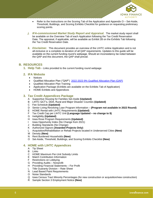

- Refer to the Instructions on the Scoring Tab of the Application and Appendix O Set-Aside, Threshold, Buildings, and Scoring Exhibits Checklist for guidance on requesting preliminary scoring points.
- *j.* IFA-commissioned Market Study Report and Appraisal. The market study report shall be available on the Overview Tab of each Application following the Tax Credit Reservation Date. The appraisal, if applicable, will be available as Exhibit 2B on the Exhibits Tab following the Tax Credit Reservation Date.
- *k. Disclaimer.* This document provides an overview of the LIHTC online Application and is not all-inclusive or a complete re-iteration of all QAP requirements. Updates to this guide will be available on the current funding round's webpage. Should an inconsistency be noted between the QAP and this document, the QAP shall prevail.

# <span id="page-6-1"></span><span id="page-6-0"></span>**B. RESOURCES**

**1. Help Tab** - Links provided to the current funding round webpage

# <span id="page-6-2"></span>**2. IFA Website**

- Notices
- Qualified Allocation Plan ("QAP") [2022-2023 9% Qualified Allocation Plan \(QAP\)](https://www.iowafinance.com/content/uploads/2021/05/2022-23-9-QAP.pdf)
- Qualified Allocation Plan Training
- Application Package (Exhibits are available on the Exhibits Tab of Application)
- HOME Exhibits and Appendices

# <span id="page-6-3"></span>**3. Tax Credit Appendices Package**

- A Supportive Housing for Families Set-Aside **(Updated)**
- B LIHTC QCT's, DDA, Rural and Major Disaster Counties **(Updated)**
- C Fee Schedule **(Updated)**
- D Senior Living Revolving Loan Program Information **(Program not available in 2022 Round)**
- E HOME Rental with LIHTC Requirements **(Updated)**
- F Tax Credit Cap per LIHTC Unit **(Language Updated – no change to \$)** F Tax Credit Cap per LIF<br>G Ineligibility (Updated)
- 
- H Iowa Rose Program Requirements **(Updated)**
- I Iowa Opportunity Index (No Change from 2021)
- J Building Standards (No Change)
- K Authorized Signors **(Awarded Projects Only)**
- L Acquisition/Rehabilitation or Rehab Projects located in Underserved Cities **(New)**
- M Density **(New)**
- N Rent Burdened Households **(New)**
- O Set-Aside, Threshold, Buildings, and Scoring Exhibits Checklist **(New)**

# <span id="page-6-4"></span>**4. HOME with LIHTC Appendices**

- A Tip Sheet
- B Links
- C HOME Maximum Per-Unit Subsidy Limits
- E Match Contribution Information
- F Restrictions on Lobbying
- G Providing Audits Nonprofit
- H Providing Financial Statements For Profit
- L Title Guaranty Division Rate Sheet
- N Lead Based Paint Requirements
- O Noise Standards
- Q Iowa Census Tract Minority Percentages (for new construction or acquisition/new construction)
- R Sample Section 3 Employment Notice **(New)**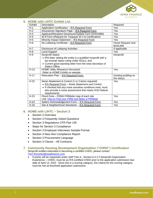

# <span id="page-7-0"></span>**5. HOME with LIHTC Exhibit List**

| Exhibit | Description                                                                                                                                                                                                                                      | Required                            |
|---------|--------------------------------------------------------------------------------------------------------------------------------------------------------------------------------------------------------------------------------------------------|-------------------------------------|
| $H-1$   | Application Certification - IFA Required Form                                                                                                                                                                                                    | Yes                                 |
| $H-2$   | Assurances Signature Page - IFA Required Form                                                                                                                                                                                                    | Yes                                 |
| $H-3$   | Applicant/Recipient Disclosure/Update Form (HUD2880)                                                                                                                                                                                             | Yes                                 |
| $H-4$   | W-9 Form (Request for Taxpayer ID # & Certification)                                                                                                                                                                                             | Yes                                 |
| $H-5$   | Minority Impact Statement - IFA Required Form                                                                                                                                                                                                    | Yes                                 |
| $H-6$   | No Lobbying Certificate - IFA Required Form                                                                                                                                                                                                      | Home Request over<br>\$100,000      |
| $H-7$   | Disclosure of Lobbying Activities                                                                                                                                                                                                                | If applicable                       |
| $H-8$   | <b>Local Support</b>                                                                                                                                                                                                                             | Yes                                 |
| $H-9$   | Nonprofit Status<br>• IRS letter stating the entity is a qualified nonprofit with a<br>tax-exempt status ruling under 501(c); and<br>• Current good standing letter from the Iowa Secretary of<br>State's Office                                 | Nonprofit                           |
| $H-13$  | <b>HOME Utility Allowance Document</b><br>Refer to HOME Exhibit on website.                                                                                                                                                                      | Yes                                 |
| $H-17$  | Relocation Plan - IFA Required Form.                                                                                                                                                                                                             | Existing building on<br>the site(s) |
| $H-22$  | Noise Abatement & Control (1 or 2 items required)<br>• IFA Required Form - Noise Abatement and Control<br>• If checked that any noise sensitive conditions exist, must<br>also provide a noise assessment that meets HUD federal<br>requirements | Yes                                 |
| $H-23$  | Flood Zone - FEMA FIRMette map of each site<br>Link: How to Find your FIRM and Make a FIRMette                                                                                                                                                   | Yes                                 |
| $H-24$  | Sellers Acknowledgement Form - IFA Required Form                                                                                                                                                                                                 | Yes                                 |
| $H-34$  | Site & Neighborhood Standards - IFA Required Form                                                                                                                                                                                                | Yes                                 |

# <span id="page-7-1"></span>**6. HOME with LIHTC – Section 3**

- Section 3 Overview
- Section 3 Frequently Asked Questions
- Section 3 Regulations CFR Part 135
- Steps for Section 3 Compliance
- Section 3 Employee Interviews Sample Format
- Section 3 New Hire Compliance Report
- Section 3 Procurement Language
- Section 3 Clause All Contracts
- <span id="page-7-2"></span>**7. Community Housing Development Organization ("CHDO") Certification** Nonprofit entities interested in becoming a certified CHDO, please contact [Terri.Rosonke@iowafinance.com.](mailto:Terri.Rosonke@iowafinance.com)
	- If points will be requested under QAP Part A., Section 6.4.2.3 Nonprofit Organization Experience – CHDO, must be an IFA-certified CHDO prior to the application submission due date of April 13, 2022. Since this is a scoring category, the criteria for the scoring category must be met at threshold application submission.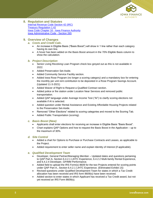

# <span id="page-8-0"></span>**8. Regulation and Statutes**

[Internal Revenue Code Section 42 \(IRC\)](https://www.govinfo.gov/app/details/USCODE-2011-title26/USCODE-2011-title26-subtitleA-chap1-subchapA-partIV-subpartD-sec42/context) [Treasury Regulation 1.42](https://www.novoco.com/lihtc-irs-guidance) [Iowa Code Chapter 16 -](https://www.legis.iowa.gov/law/statutory) Iowa Finance Authority [Iowa Administrative Code -](https://www.legis.iowa.gov/docs/publications/ACOD/767413.pdf) Section 265

# <span id="page-8-1"></span>**9. Overview of Changes**

#### *a. Costs and Credit Calc.*

- An increase in Eligible Basis ("Basis Boost") will show in 1 line rather than each category having its own line.
- A hover has been added on the Basis Boost amount in the 70% Eligible Basis column to show the calculation.

#### *b. Project Description*

- Senior Living Revolving Loan Program check box greyed out as this is not available in 2022.
- Added Preservation Set-Aside.
- Added Community Service Facility section.
- Added Iowa Rose Program (no longer a scoring category) and a mandatory box for entering the monthly per unit rent contribution to be deposited in a Rose Program Savings Account. (Updated 11-3-2021)
- Added Waiver of Right to Request a Qualified Contract section.
- Added police or fire station under Location Near Services and removed public transportation.
- Added QAP language under Average Income Test ("AI") to clarify scoring elections not available if AI is selected.
- Added question under Rental Assistance and Existing Affordable Housing Projects related to the Preservation Set-Aside.
- Removed "Other Elections" related to scoring categories and moved to the Scoring Tab.
- Added Public Transportation (scoring).

#### *c. Basis Boost (New)*

- Applicants shall enter elections for receiving an increase in Eligible Basis "Basis Boost".
- Chart explains QAP Options and how to request the Basis Boost in the Application up to the maximum of 30%.

#### *d. Site Control*

- Added a chart for Options to Purchase or Purchase Contracts and Leases, as applicable to the Project.
- Added requirement to enter seller name and explain Identity of Interest (if applicable).

#### *e. Qualified Development Team*

- Developer, General Partner/Managing Member Updated dates and questions pertaining to QAP Part A, Section 6.4.2.1 LIHTC Experience, 6.4.2.2 Multi-family Rental Experience, and 6.4.2.4 Developer, GP/MM Performance.
- Added field to upload the IRS Form(s) 8609 for the two Projects entered for scoring points under QAP Part A., Section 6.4.2.1 LIHTC Experience. (Eliminated Exhibit 1S)
- Revised questions under Qualified Development Team for states in which a Tax Credit allocation has been received and IRS form 8609(s) have been received.
- Added section to enter states in which Applicant has received a Tax Credit award, but not yet received an IRS Form 8609(s).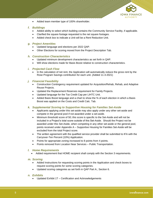

• Added team member type of 100% shareholder.

# *f. Buildings*

- Added ability to select which building contains the Community Service Facility, if applicable.
- Clarified the square footage requested is the net square footages.
- Added check box to indicate a Unit will be a Rent Reduction Unit.

#### *g. Project Amenities*

- Updated language and elections per 2022 QAP.
- Other Elections for scoring moved from the Project Description Tab.

#### *h. Construction Characteristics*

- Updated minimum development characteristics as set forth in QAP.
- Will show elections made for Basis Boost relative to construction characteristics.

#### *i. Projected Cash Flow*

• In the calculation of net rent, the Application will automatically reduce the gross rent by the Rose Program Savings contribution for each unit. (Added 11-3-2021)

#### *j. Financial Feasibility*

- Construction Contingency requirement updated for Acquisition/Rehab, Rehab, and Adaptive Reuse Projects.
- Updated the Replacement Reserves requirement for Family Projects.
- Updated language for the Tax Credit Cap per LIHTC Unit.
- Added Basis Boost language and a chart to show the % of each election in which a Basis Boost was applied on the Costs and Credit Calc. Tab.

#### *k. Supplemental Scoring to Supportive Housing for Families Set-Aside*

- Applicants applying under this set-aside may also apply under any other set-aside and compete in the general pool if not awarded under a set-aside.
- Minimum threshold score of 50; this score is specific to the Set-Aside and will not be included in a Project's total score outside of this Set-Aside. Should the Project not be awarded under this Set-Aside, when competing in any other set-aside or the general pool, points received under Appendix A – Supportive Housing for Families Set-Aside will be excluded from the total Project score.
- The written agreement with the qualified service provider shall be submitted to IFA with the Carryover-Ten Percent (10%) Application.
- Points for appropriate zoning increased to 8 points from 4 points.
- Points removed from Location Near Services Public Transportation.

#### *l. Home Requirements*

• Added requirement that HOME recipient shall comply with the Section 3 requirements.

#### *m. Scoring*

- Added Instructions for requesting scoring points in the Application and check boxes to request scoring points for some scoring categories.
- Updated scoring categories as set forth in QAP Part A., Section 6.

#### *n. Exhibits*

• Updated Exhibit 1T – Certification and Acknowledgements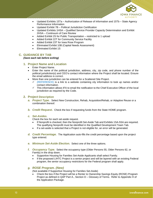

- Updated Exhibits 15Ta Authorization of Release of Information and 15Tb State Agency Performance Information
- Updated Exhibit 7B Political Jurisdiction Certification
- Updated Exhibits 1HSA Qualified Service Provider Capacity Determination and Exhibit 2HSA – Continuum of Care Review
- Added Exhibit 2S for Public Transportation restricted to 1 upload
- Added Exhibit 22T for Community Service Facility
- Added Exhibit 23T for Iowa Rose Program
- Eliminated Exhibit 10B (Capital Needs Assessment)
- Eliminated Exhibit 1S

# <span id="page-10-0"></span>**C. GUIDANCE BY TAB**

#### *(Save each tab before exiting)*

# <span id="page-10-1"></span>**1. Project Name and Location**

- Enter Project Name.
- Enter the name of the political jurisdiction, address, city, zip code, and phone number of the political jurisdiction(s) and CEO's contact information where the Project shall be located. Ensure the email address is correct.
- More than one jurisdiction can be entered for a Scattered Site Project.
	- $\checkmark$  (REFERENCE) is a link to a website containing city information to look up names and/or contact information.
	- ✓ This information allows IFA to email the notification to the Chief Executive Officer of the local jurisdiction as required by the Code.

# <span id="page-10-2"></span>**2. Project Description**

- *a. Project Type.* Select New Construction, Rehab, Acquisition/Rehab, or Adaptive Reuse or a combination thereof.
- *b. Credit Request.* Check the box if requesting funds from the State HOME program.

#### *c. Set-Asides.*

Check the box for each set-aside request.

- If Nonprofit is checked, then the Nonprofit Set-Aside Tab and Exhibits 1SA-5SA are required. The qualifying Nonprofit must be identified in the Qualified Development Team Tab.
- If a set-aside is selected that a Project is not eligible for, an error will be generated.
- *d. Credit Percentage.* The Application auto-fills the credit percentage based upon the project type entered.
- *e. Minimum Set-Aside Election.* Select one of the three options.
- *f. Occupancy Type.* Select the occupancy type (Older Persons 55, Older Persons 62, or Family) in the drop down.
	- Supportive Housing for Families Set-Aside Applicants shall select Family.
	- If the proposed LIHTC Project is a senior project and will be layered with an existing Federal program, the senior occupancy restrictions for the Federal program shall apply.

#### *g. ROSE Program. (New)*

(Not available if Supportive Housing for Families Set-Aside)

• Check the box if the Project will be a Renter to Ownership Savings Equity (ROSE) Program Project as defined in QAP Part A., Section D – Glossary of Terms. Refer to Appendix H of the Application Package.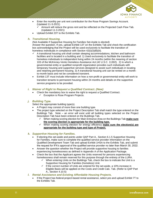

- Enter the monthly per unit rent contribution for the Rose Program Savings Account. (Updated 11-3-2021)
	- Amount will reduce the gross rent and be reflected on the Projected Cash Flow Tab. (Updated 11-3-2021)
- Upload Exhibit 23T to the Exhibits Tab.

## *h. Transitional Housing.*

(Not Available if Supportive Housing for Families Set-Aside is elected) Answer the question. If yes, upload Exhibit 13T on the Exhibits Tab and check the certification box acknowledging that the Project will be used exclusively to facilitate the transition of homeless individuals in compliance with Section 42(i)(3)(B)(iii).

- ✓ A transitional housing unit shall contain sleeping accommodations, kitchen and bathroom facilities and is located in a building and: 1) Used exclusively to facilitate the transition of homeless individuals to independent living within 24 months (within the meaning of section 103 of the McKinney-Vento Homeless Assistance Act (42 U.S.C. 11302). 2) In which a governmental entity or qualified nonprofit organization provides such individuals with temporary housing and supportive services designed to assist such individuals in locating and retaining permanent housing. 3) A transitional housing unit can be rented on a monthto-month basis and not be considered transient.
- Exhibit 13T must include information on how a non-profit or governmental entity will work to transition tenants to permanent housing within 24 months and details on the supportive service programs to be provided.

#### *i. Waiver of Right to Request a Qualified Contract. (New)*

- Check the mandatory box to waive the right to request a Qualified Contract.
	- $\checkmark$  Exception is Rose Program Projects.

#### *j. Building Type.*

Select the appropriate building type(s).

- A Project may consist of more than one building type.
- The project type selected on the Project Description Tab shall match the type entered on the Buildings Tab. Note – an error will exist until all building types selected on the Project Description Tab have been entered on the Buildings Tab.
	- ✓ When making scoring election for Main Entrance Area on the Buildings Tab **make sure the scoring election is appropriate for the building type.**
	- ✓ When making scoring election for energy efficiency **make sure the election(s) are appropriate for the building type and type of Project.**

#### *k. Supportive Housing for Families.*

- If electing this set-aside and points under QAP Part A., Section 6.1.5 Supportive Housing for Families, make sure to complete the qualified service provider information on the Qualified Development Team Tab and upload Exhibit 1HSA to the Exhibits Tab, and submit the request for IFA's approval of the qualified service provider no later than March 30, 2022.
- Answer the question whether the Project will provide supportive housing to families experiencing homelessness as defined in Appendix A of the Application Package.
- Check the box that the Applicant agrees the Units reserved for persons experiencing homelessness shall remain reserved for this purpose through the entirety of the LURA.
	- $\checkmark$  When entering Units on the Buildings Tab, check the box to indicate the Unit is a Supportive Housing for Families (homeless) Unit.
	- $\checkmark$  If the correct number of Units are entered for the set-aside, a 10% increase in Eligible Basis will be applied on the Costs and Credit Calc. Tab. (Refer to QAP Part A., Section 4.10.5)
- *l. Rental Assistance and Existing Affordable Housing Projects.*
	- If the Project has federal project-based rental assistance, select yes and upload Exhibit 7T to the Exhibits Tab.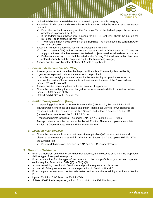

- Upload Exhibit 7S to the Exhibits Tab if requesting points for this category.
- Enter the subsidy source and the number of Units covered under the federal rental assistance contract.
	- $\checkmark$  Enter the contract number(s) on the Buildings Tab if the federal project-based rental assistance is provided by HUD.
	- $\checkmark$  If the federal project-based rent exceeds the LIHTC Rent limit, check the box on the Buildings Tab to exceed the rent limit.
	- $\checkmark$  The rent and utility allowance entry on the Buildings Tab must match the current HUD or RD rent schedule.
- Enter loan number if applicable for Rural Development Projects.
	- $\checkmark$  The six percent (6%) limit on net rent increases stated in QAP Section 4.1.7 does not apply to a Project that has an executed federal project-based rental assistance contract.
	- ✓ Preliminary scoring points shall be listed in the Scoring Tab if all information has been entered correctly and the Project is eligible for this scoring category.
- Answer questions on Transfer of Physical Assets as applicable.

#### *m. Community Service Facility. (New)*

- Answer yes or no as to whether the Project will include a Community Service Facility.
- If yes, enter explanation about the services to be provided
- Check the box certifying that the Community Service Facility will provide services that improve the quality of life of community and residents in the area of the Project whose income 60% or less of AMI.
- Answer question regarding fees and enter amount, if applicable.
- Check the box certifying the fees charged for services are affordable to individuals whose income is 60% or less of AMI.
- Upload Exhibit 22T to the Exhibits Tab.

#### *n. Public Transportation. (New)*

- If requesting points for Fixed Route Service under QAP Part A., Section 6.2.7 Public Transportation, check the applicable box under Fixed Route Service for which points are requested and enter the name of the Bus Service, and upload a complete Exhibit 2S (required attachments and the Exhibit 2S form).
- If requesting points for Dial-a-Ride under QAP Part A., Section 6.2.7 Public Transportation, check the box, enter the Transit Provider Name, and upload a complete Exhibit 2S (required attachment and the Exhibit 2S form).

#### *o. Location Near Services.*

- Check the box for each service that meets the applicable QAP service definition and distance requirements as set forth in QAP Part A., Section 5.4.2 and upload Exhibit 17T to the Exhibits Tab.
	- ✓ Service definitions are provided in QAP Part D. Glossary of Terms.

#### <span id="page-12-0"></span>**3. Nonprofit Set-Aside**

- Enter the Nonprofit entity name, tax id number, address, and select yes or no from the drop-down field for type of Nonprofit exemption.
- Enter explanation for the type of tax exemption the Nonprofit is organized and operated exclusively for; Select either 501(c)(3) or 501(c)(4).
- Answer remaining questions in Section A and provide requested explanations.
- Answer all of the questions and provide explanations in Sections B and C.
- Enter the person's name and contact information and answer the remaining questions in Section D.
- Upload Exhibits 1SA-5SA on the Exhibits Tab.
- If State HOME funds requested, upload Exhibit H-9 on the Exhibits Tab, also.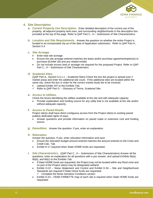

# <span id="page-13-0"></span>**4. Site Description**

- **a.** Current Property Use Description. Enter detailed description of the current use of the property, all adjacent property land uses, and surrounding neighborhoods in the description box provided at the top of the page. Refer to QAP Part C., H – Submission of Site Characteristics*.*
- *b. Location and Site Requirements.* Answer the question on whether the entire Project is located in an incorporated city as of the date of Application submission. Refer to QAP Part A., Section 5.4.

#### *c. Site Acreage.*

- Enter total site acreage.
- Ensure the site acreage entered matches the lease and/or purchase agreement/option(s) to purchase (Exhibit 1B) and any related exhibit.
- Do not include excess land or acreage not required for the proposed Project. Refer to QAP Part C., H – Submission of Site Characteristics.

#### *d. Scattered Sites.*

(QAP Part A., Section 5.4.1.1 – Scattered Sites) Check the box the project is spread over 2 market areas and enter the additional site count. If the additional sites are located within the same city, check the box in order for the correct market study fee to be invoiced.

- Upload Exhibit 19T to the Exhibits Tab.
- ✓ Refer to QAP Part D. Glossary of Terms, Scattered Site.

#### *e. Access to Utilities.*

Check the boxes identifying the utilities available at the site and with adequate capacity.

• Provide explanation and funding source for any utility that is not available at the site and/or without adequate capacity.

#### *f. Access to Paved Roads.*

Project site(s) shall have direct contiguous access from the Project site(s) to existing paved publicly dedicated rights of ways.

- Answer questions and provide information on paved roads or extension cost and funding source.
- *g. Demolition.* Answer the question. If yes, enter an explanation.

#### *h. Relocation.*

Answer the question. If yes, enter relocation information and save.

- Ensure the relocation budget amount entered matches the amount entered on the Costs and Credit Calc. Tab.
- Exhibit H-17 required when State HOME funds are requested.
- *i. Site Characteristics.* (QAP Part C., H Submission of Site Characteristics) Answer all the questions, enter an explanation for all questions with a yes answer, and upload Exhibits 6b(a), 6b(b), and 6b(c) to the Exhibits Tab.
	- If State HOME funds are requested, the Project may not be located within any flood zone and no part of the Project site(s) may be designated wetland.
	- Exhibit H-22 Noise Abatement and Control and Exhibit H-34 Site and Neighborhood Standards are required if State Home funds are requested.
		- $\checkmark$  Complete the Noise Sensitive Conditions section
	- Exhibit H-23 FEMA FIRMETTE map of each site is required when State HOME funds are requested.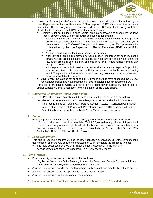

- If any part of the Project site(s) is located within a 100-year flood zone, as determined by the Iowa Department of Natural Resources, FEMA map, or a FIRM map, enter the additional information. The following applies to sites located within a 100-year flood zone (N/A if State HOME funds requested – no HOME project in any flood zone):
	- a) Projects must be included in flood control projects approved and funded by the Iowa Flood Mitigation Board with the following additional requirements;
		- $\checkmark$  Applicant shall ensure elevating the lowest finished floor elevation to two (2) feet above the base flood elevation (i.e., two feet above the "100-year" flood plain), or at the elevation of the "500-year" floodplain, whichever is higher. Floodplain elevation is determined by the Iowa Department of Natural Resources, FEMA map or FIRM map;
		- $\checkmark$  Applicant shall acquire flood insurance on the property;
		- ✓ Applicant shall obtain and provide personal property insurance for each residential tenant with the premium cost to be paid by the Applicant or if paid by the tenant, the insurance premium shall be part of gross rent; or a tenant reimbursement plan acceptable to IFA; and
		- ✓ Prior to placing the Units in service, the Owner shall have a plan in place for providing assistance to tenants in the event the Units become uninhabitable due to a flooding event. The plan shall address, at a minimum, moving costs and similar expenses and must be acceptable to IFA; and
	- b) Acq/Rehab Applications for existing LIHTC Properties that have exceeded the 15-year Compliance Period and have submitted a flood mitigation plan acceptable to IFA.
- If the site(s) are located within 300 feet of an electrical power substation, natural gas, or similar substation, enter description for the mitigation of the visual effects.

# *j. Concerted Community Revitalization Plan.*

- If the Project is located entirely in a QCT and entirely within the defined geographical boundaries of an Area for which a CCRP exists, check the box and upload Exhibit 18T.
	- If the requirements set forth in QAP Part A., Section 4.10.1.2 Concerted Community Revitalization Plans (CCRP) are met, Project may receive a 10% increase in Eligible Basis if the box is checked on the Basis Boost Tab to request the boost.

#### *k. Zoning.*

Enter the present zoning classification of the site(s) and provide the required information.

- $\checkmark$  Information shall match the city's completed Exhibit 7B, as well as any other exhibit submitted.
- $\checkmark$  If not zoned appropriately at threshold Application submission, documentation that appropriate zoning has been received, must be provided in the Carryover-Ten Percent (10%) Application. Refer to QAP Part C., C – Zoning.

#### *l. Legal Description.*

This field is required in the Pre-Closing Review Application submission. Enter the complete legal description of all of the real estate encompassing or will encompass the proposed Project.

 $\checkmark$  The legal description entered shall match the legal description in the warranty deed/recorded long term lease and Iowa Title Guaranty documents.

# <span id="page-14-0"></span>**5. Site Control**

- Enter the entity name that has site control for the Project.
	- May be the Ownership Entity if already formed, the Developer, General Partner or Affiliate (must be listed on the Qualified Development Team Tab).
- Answer the questions on whether the Ownership Entity has sole fee simple title to the Property.
- Answer the question regarding option to lease or executed lease.
- Answer the questions on the city parking requirements.
- *a.* **Options to Purchase/Purchase Contract and/or Options to Lease/Executed Lease**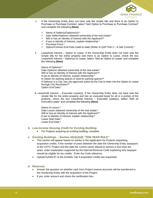

- **i.** If the Ownership Entity does not have sole fee simple title and there is an Option to Purchase or Purchase Contract, select "Add Option to Purchase or Purchase Contract" and complete the following **(New)**:
	- ✓ Name of Seller(s)/Optionor(s):\*
	- ✓ Date Seller/Optionor obtained ownership of the real estate:\*
	- ✓ Will or has an Identity of Interest with the Applicant?\*
	- ✓ If yes to Identity of Interest, explain relationship:\*
	- ✓ Purchase Price:\*
	- ✓ Option/Contract End Date (valid to date) (Refer to QAP Part C., A-Site Control):\*
- ii. Leasehold Interest Option to Lease. If the Ownership Entity does not have sole fee simple title for the entire property and there is an Option to Lease, check the box Leasehold Interest – Option(s) to Lease, select "Add an Option to Lease" and complete the following **(New)**:

Name of Optionor:\* Date Optionor obtained ownership of the real estate:\* Will or has an Identity of Interest with the Applicant?\* If yes to Identity of Interest, explain relationship:\* Is Option for parking spaces or land for parking spaces?\* If Optionor is a City, has city approved action by the City to enter into the Option to Lease through City Resolution?\* Option End Date:\*

iii. Leasehold Interest – Executed Lease(s). If the Ownership Entity does not have sole fee simple title for the entire property and has an executed lease for all or a portion of the property, check the box Leasehold Interest – Executed Lease(s), select "Add an Executed Lease" and complete the following **(New)**:

Name of Lessor:\* Date Lessor obtained ownership of the real estate:\* Will or has an Identity of Interest with the Applicant?\* If yes to Identity of Interest, explain relationship:\* Lease Start Date:\* Lease End Date:\*

- *b. Low-Income Housing Credit for Existing Building.*
	- For Projects acquiring an existing building, complete.

#### *c. Existing Buildings – Section 42(d)(2)(8) "TEN-YEAR RULE"*

- This section will appear based on entries in the Application for Projects requesting acquisition credits. If the number of years between the date the Ownership Entity (taxpayer) of the LIHTC Project and the date the current owner placed-in-service is less than ten years, enter explanation supported by the Internal Revenue Code explaining why taxpayer should be eligible for tax credits. Enter the Code reference.
- Upload Exhibit 8T to the Exhibits Tab if acquisition credits are requested.

#### *d. Reserves.*

- Answer the question on whether cash from Project reserve accounts will be transferred to the Ownership Entity with the acquisition of the Project.
- If yes, enter amount and check the certification box.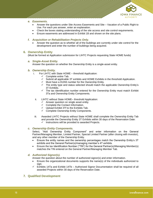

#### *e. Easements.*

- Answer the questions under Site Access Easements and Site Vacation of a Public Right to Use. For each yes answer, enter an explanation.
- Check the boxes stating understanding of the site access and site control requirements.
- Ensure easements are addressed in Exhibit 1B and shown on the site plans.

#### *f. Acquisition or Rehabilitation Projects Only.*

• Answer the question as to whether all of the buildings are currently under site control for the development and enter the number of buildings being acquired.

#### <span id="page-16-0"></span>**6. Ownership Entity**

(Must be formed at Application submission for LIHTC Projects requesting State HOME funds)

*a. Single-Asset Entity.*

Answer the question on whether the Ownership Entity is a single-asset entity.

#### *b. Ownership Entity.*

- i. For LIHTC with State HOME threshold Application:
	- $\checkmark$  Complete entire Tab.
	- $\checkmark$  Submit all applicable 3T exhibits and HOME Exhibits in the threshold Application.
	- $\checkmark$  Must have a DUNS number for the Ownership Entity.
	- $\checkmark$  The entity type and status selected should match the applicable Ownership Entity's 3T Exhibits.
	- $\checkmark$  The tax identification number entered for the Ownership Entity must match Exhibit 3Ta and Ownership Entity Components.
	- ii. LIHTC without State HOME– threshold Application:
		- $\checkmark$  Answer question on single asset entity.
		- $\checkmark$  Complete the Contact Information.
		- ✓ Upload Exhibit 3Tf to the Exhibits Tab.
		- ✓ Complete Ownership Entity Components.
- iii. Awarded LIHTC Projects without State HOME shall complete the Ownership Entity Tab and provide the Ownership Entity 3T Exhibits within 30 days of the Reservation Date:  $\checkmark$  Instructions will be provided to awarded Projects.

#### *c. Ownership Entity Components.*

Select, "Add Ownership Entity Component" and enter information on the General Partner/Managing Member, Limited Partner, Special Limited Partner (after closing with investor), and any other member of the Ownership Entity.

- Ensure the entity names and the ownership percentages match the Ownership Entity's 3T exhibits and the General Partner(s)/managing member's 4T exhibits.
- Ensure the tax Identification Number ("TIN") for the General Partner(s)/Managing Member(s) matches the TIN entered on the General Partner/Managing Member Tab.

#### *d. Authorized Signor(s).*

Answer the question about the number of authorized signor(s) and enter information.

- Ensure the organizational documents supports the name(s) of the individuals authorized to sign.
- ✓ Exhibits 14Ta and Exhibit 14Tb Authorized Signor Documentation shall be required of all awarded Projects within 30 days of the Reservation Date.

# <span id="page-16-1"></span>**7. Qualified Development**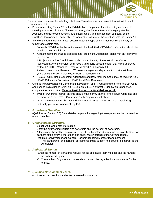

Enter all team members by selecting, "Add New Team Member" and enter information into each team member tab.

- Before generating Exhibit 1T on the Exhibits Tab, complete entry of the entity names for the Developer, Ownership Entity (if already formed), the General Partner/Managing Member, Architect, and development consultant (if applicable), and management company on the Qualified Development Team Tab. The Application will pre-fill these entities into the Exhibit 1T.
- If one of the team member "titles" doesn't match the type of team member, list the entity as "other" and explain role.
	- $\checkmark$  For each GP/MM, enter the entity name in the field titled "GP/MM of". Information should be consistent with Exhibit 3F.
	- $\checkmark$  All team members shall be disclosed and listed in the Application, along with any Identity of Interest and fees.
	- $\checkmark$  A Project with a Tax Credit investor who has an Identity of Interest with an Owner Representative of the Project shall have a third-party asset manager that is pre-approved by the IFA LIHTC Manager. Refer to QAP Part A., Section 5.3.4.
	- $\checkmark$  A direct investor shall have a LIHTC asset management department with at least three years of experience. Refer to QAP Part A., Section 5.3.4.
	- $\checkmark$  If State HOME funds requested, additional mandatory team members may be required (i.e., HOME Relocation Consultant, HOME Lead Safe Renovator).
- General Partner/Managing Member and Developer Tabs: If requesting the Nonprofit Set-Aside and scoring points under QAP Part A., Section 6.4.2.3 Nonprofit Organization Experience, complete the section titled **Material Participation of a Qualified Nonprofit**.
	- $\checkmark$  Type of ownership interest entered should match entry on the Nonprofit Set-Aside Tab and as shown in Exhibit 3TF – Ownership Entity Organizational Chart.
	- $\checkmark$  QAP requirements must be met and the nonprofit entity determined to be a qualifying materially participating nonprofit by IFA.

# *a. Experience Narrative.*

(QAP Part A., Section 5.3) Enter detailed explanation regarding the experience when required for a team member.

#### *b. Organizational Structure.*

- Select "Add" and enter information.
- Enter the entity or individuals with ownership and the percent of ownership.
- After saving the entity information, enter the officers/directors/members, stockholders, or partners of the entity. If more than one entity has ownership of the GP/mm, repeat.
- Required for Developer and General Partner/Managing Member team members.
	- The partnership or operating agreements must support the structure entered in the Application.

#### *c. Authorized Signors.*

- Enter the number of signatures request for the applicable team member and the name(s) of the authorized signors.
	- $\checkmark$  The number of signors and names should match the organizational documents for the entities.
- *d. Qualified Development Team.*
	- Answer the questions and enter requested information.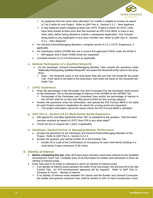

- $\checkmark$  An Applicant that has never been allocated Tax Credits is eligible to receive an award of Tax Credits for one Project. Refer to QAP Part A., Section 5.3.1 – New Applicant.
- $\checkmark$  A new Applicant shall complete at least one LIHTC Project in which all LIHTC Units have been leased at least once and has received an IRS Form 8609, in Iowa or any other state, before being allowed to submit a subsequent Application. This includes being listed on any Application in any team member role. Refer to QAP Part A., Section 5.3.1 – New Applicant.
- For General Partner/Managing Members, complete section 6.4.2.1 LIHTC Experience, if applicable.
- For Developers and/or GP/MM who are a current IFA-approved CHDO, enter the DUNS #.  $\checkmark$  Will appear only if State HOME funds are requested.
- Complete Section 6.4.2.4 Performance as applicable.

#### *e. Material Participation of a Qualified Nonprofit.*

- On the Developer, General Partner/Managing Member Tabs, answer the questions under "Materially Participating Qualified Nonprofit" and select the Nonprofit entity name in the dropdown.
	- $\checkmark$  Note the Nonprofit name in the drop-down field will pull from the Nonprofit Set-Aside Tab. If the name is not listed in the drop-down, then enter the name on the Nonprofit Set-Aside Tab.

#### *f. LIHTC Experience.*

- Enter the percentage of the Developer Fee and Consultant Fee the Developer shall receive on the Developer Tab or the percentage of interest of the GP/MM on the GP/MM Tab*.*
	- $\checkmark$  Percentage of the Developer and Consultant Fees and/or the percentage of interest in the GP/mm shall be no less than fifty percent (50%) for this scoring category.
- Answer the questions, enter the information, and upload the IRS Form(s) 8609 in the table for each Project entered in Application for which the scoring points are requested.
	- $\checkmark$  The project information cannot be saved unless the IRS Form(s) 8609 is uploaded.

#### *g. QAP Part A., Section 6.4.2.2 Multi-Family Rental Experience***.**

- Will appear for only New Applicants when "No" is answered to the question, "Has this team member received an award of LIHTC from IFA or any other state?"
- Check the box to request the 1 point, if applicable.
- *h. Developer, General Partner or Managing Member Performance.* 
	- Answer the questions for the Developer and General Partner/Managing Member of this Project. Refer to QAP Part A., Section 6.4.2.4.
	- Answer the question and upload Exhibit 3S to the Exhibits Tab.
		- Exhibit 3S is a pdf of the Certificate(s) of Occupancy for each multi-family building in a multi-family Project (minimum of 48 Units).

#### <span id="page-18-0"></span>**8. Identity of Interest**

- **Before completing this tab**, enter all Project team members have been entered on the Qualified Development Team Tab. Complete entry of all information for entities and individuals in which an Identity of Interest exists.
- Enter fees paid to an entity or individual in which an Identity of Interest exists.
	- If an Identity of Interest exists between the seller of the real estate, this will auto-fill to the Site Control Tab. An IFA-commissioned appraisal will be required. Refer to QAP Part D., Glossary of Terms – Identity of Interest.
	- $\checkmark$  If an Identity of Interest exists between the Owner and the Builder and General Contractor, the builder and general contractor fees shall be limited to 10% of Hard Construction Costs.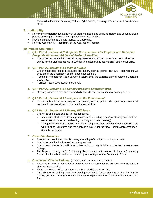

Refer to the Financial Feasibility Tab and QAP Part D., Glossary of Terms - Hard Construction Costs.

# <span id="page-19-0"></span>**9. Ineligibility**

- Review the Ineligibility questions with all team members and affiliates thereof and obtain answers prior to entering the answers and explanations in Application.
- Provide explanations and entity names, as applicable.
- Refer to Appendix G Ineligibility of the Application Package.

## <span id="page-19-1"></span>**10.Project Amenities**

- *a. QAP Part A., Section 4.10.6 Special Considerations for Projects with Universal Design Features and Additional Project Amenities.*
	- Check the box for each Universal Design Feature and Project Amenity to be provided to qualify for the Basis Boost (up to 10% for this category). Elections shall apply to all Units.

#### *b. QAP Part A., Section 6.3.1 Market Appeal.*

- Check applicable boxes to request preliminary scoring points. The QAP requirement will populate in the description box for each checked box.
- If points are elected for Video Security System, enter the expense on the Projected Operating Costs Tab.
- If an item has a specification box, enter.
- *c. QAP Part A., Section 6.3.4 Construction/Unit Characteristics***.**
	- Check applicable boxes or select radio buttons to request preliminary scoring points.
- *d. QAP Part A., Section 6.3.6 – Impact on the Environment.*
	- Check applicable boxes to request preliminary scoring points. The QAP requirement will populate in the description box for each checked box.

#### *e. QAP Part A., Section 6.3.7 Energy Efficiency.*

- Check the applicable box(es) to request points.
	- $\checkmark$  Make sure election made is appropriate for the building type (# of stories) and whether each Unit will have its own heating, cooling, and water heating)
	- ✓ If Project is New Construction and has existing structures, check the box under Projects with Existing Structures and the applicable box under the New Construction categories. 8 points maximum.

#### *f. Other Site Amenities.*

- Answer the question on on-site manager/employee's unit (common space unit).
- Check the certification box and answer questions.
- Check box if the Project will have or has a Community Building and enter the net square footage.
- For Projects not eligible for Community Room points, but have or will have a Community Room, check the box, and enter the net square footage for the Community Room.
- *g. On-site and Off-site Parking.* (surface, underground, and garages)
	- Enter the number of each type of parking, whether rent shall be charged, and the amount charged, if applicable.
	- Parking income shall be reflected in the Projected Cash Flow Tab.
	- If no charge for parking, enter the development costs for the parking on the line item for parking (included in rent) and enter the cost in Eligible Basis on the Costs and Credit Calc. Tab.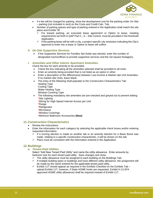

- If a fee will be charged for parking, show the development cost for the parking under On-Site – parking (not included in rent) on the Costs and Credit Calc. Tab.
- Number of parking spaces and type of parking entered in the Application shall match the site plans and Exhibit 7B.
	- $\checkmark$  For leased parking, an executed lease agreement or Option to lease, meeting requirements set forth in QAP Part C., A – Site Control, must be provided in the threshold Application.
	- If the parking lease will be with a city, a project-specific city resolution indicating the City's approval to enter into a lease or Option to lease will suffice.
- *h. On-Site Supportive Services.*
	- If the Supportive Services for Families Set-Aside was elected, enter the number of designated rooms/offices to provide supportive services and the net square footage(s).

#### *i. Amenities and Other Interior Apartment Amenities.*

Check the box for each amenity to be provided.

- Check the box indicating all the amenities selected shall be provided to all Units.
- Enter an amenity being provided that is not listed as an option in other.
- Enter a description of the difference(s) between Low-Income & Market rate Unit Amenities. If no market rate Units, leave blank.
- The entry of the following shall populate to the Construction Characteristics Tab: Heating Type Cooling Type Water Heating Type Window Covering Type
- The following mandatory site amenities are pre-checked and greyed out to prevent editing: \*Site Lighting

\*Wiring for High-Speed Internet Access per Unit

- \*Range
- \*Refrigerator
- \*Microwave
- \*Window Coverings

\*Minimum Bathroom Accessories **(New)**

#### <span id="page-20-0"></span>**11.Construction Characteristics**

- Review the instructions.
- Enter the information for each category by selecting the applicable check boxes and/or entering requested information.
	- $\checkmark$  If a scoring election is made on another tab or an amenity election for a Basis Boost was made, relating to a specific construction characteristic, it will be shown on this tab.
	- $\checkmark$  Plans must be consistent with the information entered in the Application.

#### <span id="page-20-1"></span>**12.Buildings**

#### *a. Tenant-Paid Utilities*

Select "Add New Tenant Paid Utility" and name the utility allowance. Enter amounts by bedroom size for each tenant paid utility. Save changes and close.

- $\checkmark$  The utility allowance must be assigned to each building on the Buildings Tab.
- ✓ If multiple building types or buildings and have different utility allowance, the assignment will be made by the name entered for the applicable tenant paid utility.
- $\checkmark$  Exhibit 11T should appear as required in the Exhibits Checklist on the Exhibits Tab upload Exhibit 11T; however, if State HOME funds are requested, Exhibit H-13 (IFA approved HOME utility allowance) shall be required instead of Exhibit 11T.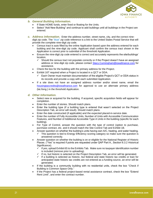

- *b. General Building Information.*
	- If State HOME funds, enter fixed or floating for the Units*.*
	- Select "Add New Building" and continue to add buildings until all buildings in the Project are entered.
- *c. Address Information.* Enter the address number, street name, city, and the correct ninedigit zip code. The "blue" zip code reference is a link to the United States Postal Service that will provide the complete nine-digit zip code.
	- Census tract is auto filled by the online Application based upon the address entered for each building and the nine-digit zip code. Applicant shall confirm the census tract shown in the Application is correct prior to submittal of the threshold Application.
	- Ensure the nine-digit zip code entered is correct and accurately represents the site/buildings' location.
		- $\checkmark$  Should the census tract not populate correctly or if the Project doesn't have an assigned address or nine-digit zip code, please contact [Stacy.Cunningham@iowafinance.com](mailto:Stacy.Cunningham@iowafinance.com) for assistance.
	- Check the box for the building with the primary address for the Project.
	- Exhibit 16T required when a Project is located in a QCT or DDA.
		- $\checkmark$  Each Owner must maintain documentation of the eligible Project's QCT or DDA status in its records and provide a copy with each submitted Application.
	- If a site does not have an assigned address number and/or street name, email the [housingtaxcredits@iowafinance.com](mailto:housingtaxcredits@iowafinance.com) for approval to use an alternate primary address (lat./long.) in the threshold Application.

#### *d. Other Information.*

- Select new or acquired for the building. If acquired, specific acquisition fields will appear for completion.
- Enter the number of stories. Should match plans.
- Enter the building type (if a building type is entered that wasn't selected on the Project Description Tab, an error will result). Should match plans.
- Enter the date constructed (if applicable) and the expected placed-in-service date.
- Enter the number of Fully Accessible Units, Number of Units with Accessible Communication Features, and Number of Additional Accessible Type A Units in the building (specific for each building).
- For Type of Control, answer the question with the type of control (option to purchase, purchase contract, etc. and it should match the Site Control Tab and Exhibit 1B.
	- Answer question on whether the building's units having own A/C, heating, and water heating.
	- This question is tied to Energy Efficiency scoring category so make sure the question is answered correctly.
- Answer question on whether the building is on or eligible for the National Register of Historic Places. ("Yes" is required if points are requested under QAP Part A., Section 6.3.2 Historical Significance).
	- If yes, upload Exhibit 6S to the Exhibits Tab. Make sure no taxpayer identification number is included (remove prior to uploading).
	- $\checkmark$  If no, but historic is selected on the Project Description Tab, an error will be generated.
	- ✓ If a building is selected as historic, but federal and state historic tax credits or loan for anticipated state historic tax credits are not entered as a funding source, an error will be generated.
- If the building is a community building with no residential units, check the box "Check if Building is Common Space Only."
- If the Project has a federal project-based rental assistance contract, check the box "Extend Rent Limit", and enter the contract number.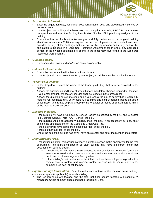

#### *e. Acquisition Information.*

- Enter the acquisition date, acquisition cost, rehabilitation cost, and date placed in service by previous owner.
- If the Project has buildings that have been part of a prior or existing LIHTC Project, answer the questions and enter the Building Identification Number (BIN) previously assigned to the building.
- Check the box for Applicant acknowledges and fully understands that original building identification numbers (BIN) are required to be used if previous tax credits have been awarded on any of the buildings that are part of this application and if any part of this application is included in a Land Use Restrictive Agreement still in effect, any applicable portion of the owner's application is bound to the most restrictive terms in the Land Use Restrictive Agreement(s).

#### *f. Qualified Basis.*

• Enter acquisition costs and new/rehab costs, as applicable.

#### *g. Utilities Included in Rent.*

- Check the box for each utility that is included in rent.
- If the Project will be an Iowa Rose Program Project, all utilities must be paid by the tenant.

#### *h. Tenant Paid Utilities.*

- In the drop-down, select the name of the tenant-paid utility that is to be assigned to the building.
- Answer the question on additional charges that are mandatory charges required for tenancy. If yes, enter amount. Mandatory charges shall be reflected in the gross rents.
- Answer the question on sub-metering and if yes, check the box to certify that in each submetered rent-restricted unit, utility costs will be billed and paid by tenants based on actual consumption and treated as paid directly by the tenant for purposes of Section  $42(g)(2)(B)(ii)$ of the Internal Revenue Code.

#### *i. Building Includes.*

- If the building will have a Community Service Facility, as defined by the IRS, and is located in a Qualified Census Tract ("QCT"), check the box.
- If the building will be an accessory building, check the box. If an accessory building, enter cost on the applicable line on the Costs and Credit Calc Tab.
- If the building will have commercial space/facilities, check the box.
- If there's other facilities, check the box.
- Check the box if the building has or will have an elevator and enter the number of elevators.

#### *j. Main Entrance Area.*

- If requesting points for this scoring category, enter the election that is appropriate for the type of building. This is building specific so each building may have a different check box depending on building design.
	- $\checkmark$  If each unit will not have a main entrance to the exterior do not check "Unit main entrance to exterior shall have a storm door and a covered entry with a minimum depth and width coverage of 4 feet by 4 feet
	- $\checkmark$  If the building's main entrance to the interior will not have a foyer equipped with a remote security system and intercom system to each unit to control entry to the common area don't check the box.
- *k. Square Footage Information.* Enter the net square footage for the common areas and any commercial space (if applicable) for each building.
	- $\checkmark$  The residential square footage and the total net floor square footage will populate (A Manager's Unit is common space and not a residential Unit).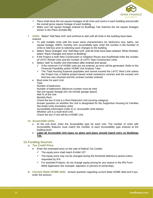

- $\checkmark$  Plans shall show the net square footages of all Units and rooms in each building and provide the overall gross square footage of each building.
- $\checkmark$  Make sure net square footage entered on Buildings Tab matches the net square footages shown in the Plans (Exhibit 8B).
- *l. Units.* Select "Add New Unit" and continue to add until all Units in the building have been entered.
	- To add multiple Units with the exact same characteristics (sf, bedrooms size, baths, net square footage, AMI%, monthly rent, accessibility type, enter the number in the Number of Units to Add box prior to selecting save changes to the building.
	- Select "Save Changes" and "Add New Unit" until all Units have been entered. When finished, select "Save Changes and return to Building".
	- If the Project is both New Construction or Adaptive Reuse and Acq/Rehab enter the number of LIHTC Rehab Units and the number of LIHTC New Construction Units.
	- Select "edit" to modify Unit information after entered and saved.
		- If the minimum # of HOME units are not entered, an error will be generated. Refer to the Financial Feasibility and/or HOME Unit Analysis Tabs.
		- $\checkmark$  The Total Housing Expense populates and cannot exceed the LIHTC Rent Limit unless the Project has a federal project-based rental assistance contract and the exceed rent limit box was checked and the contract number entered.
	- Must enter for each Unit:

Type Number of bedrooms Number of bathrooms (Minimum number must be met) Net unit square footage (Do not include garage space) AMI % of the Unit Monthly Rent Check the box if Unit is a Rent Reduction Unit (scoring category) Answer question on whether the Unit is designated for the Supportive Housing for Families Set-Aside Units (homeless units) Accessibility information (refer to m. Accessible Units below) Whether unit is a multi-level Unit. Check the box if Unit will be a HOME Unit.

## *m. Accessible Units.*

- At the unit level, enter the Accessibility type for each Unit. The number of Units with Accessibility features must match the number of each Accessibility type entered at the building level.
- **Label all Accessible Unit types on plans and plans should match entry on Buildings Tab.**

# <span id="page-23-0"></span>**13.Funding Sources**

#### *a. Tax Credit Price.*

- Enter the estimated price on the sale of federal Tax Credits.
	- $\checkmark$  The equity price shall match Exhibit 10T.
	- $\checkmark$  The equity price may not be changed during the threshold deficiency period unless requested by IFA.
	- $\checkmark$  For awarded Projects, do not change equity pricing for any reason in the IRS Form 8609 Application (for example: adjusters or percent of ownership).
- *b. Current State HOME debt.* Answer question regarding current State HOME debt and if yes, enter the amount.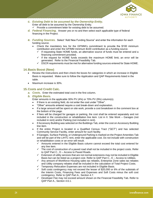

- *c. Existing Debt to be assumed by the Ownership Entity.*  Enter all debt to be assumed by the Ownership Entity*.*  $\checkmark$  Provide a commitment letter for existing debt to be assumed.
- *d. Federal Financing.* Answer yes or no and then select each applicable type of federal financing in the Project.
- *e. Funding Sources.* Select "Add New Funding Source" and enter the information for each funding source.
	- Check the mandatory box for the GP/MM's commitment to provide the \$100 minimum contribution and enter the GP/MM minimum \$100 contribution as a funding source.
		- $\checkmark$  If requesting State HOME funds, an alternative source of funds must be entered and a financing commitment provided.
		- $\checkmark$  If the request for HOME funds exceeds the maximum HOME limit, an error will be generated. Refer to the Financial Feasibility Tab.
		- $\checkmark$  DSCR requirements must be met for alternative funding sources entered for State HOME.

# <span id="page-24-0"></span>**14.Basis Boost (New)**

- Review the Instructions and then check the boxes for categories in which an increase in Eligible Basis is requested. Make sure to follow the Application and QAP Requirements listed in the table.
- Maximum increase is 30%.

# <span id="page-24-1"></span>**15.Costs and Credit Calc.**

- *a. Costs.* Enter the estimated total cost in the first column**.**
- *b. Eligible Basis.* 
	- Enter amounts in the applicable 30% PV (4%) or 70% PV (9%) column(s).
	- If there is an existing field, do not enter the cost under "Other".
	- "Other" amounts entered require a cost break-down and explanation.
	- If a large amount will be spent on site work, provide a cost breakdown in the comment box at the bottom of the page.
	- If fees will be charged for garages or parking, the cost shall be entered separately and not included in the construction or rehabilitation line item. List in II. Site Work – Garages (not included in rent) and/or Parking (not included in rent).
	- If Accessory Building was selected on the Buildings Tab, enter the cost on Accessory Building line item.
	- If the entire Project is located in a Qualified Census Tract ("QCT") and has selected Community Service Facility, enter amount for such facility.
	- If Garages, Surface Parking, or Underground Parking is marked on the Project Amenities Tab and will be part of the LIHTC rent, enter the applicable cost. Do not include with construction or rehabilitation costs or an error will result.
		- $\checkmark$  Amounts entered in the Eligible Basis column cannot exceed the total cost entered for any line item.
		- ✓ The cost of construction of a paved road shall not be included in the project costs. Refer to QAP Part C., D – Access to Paved Roads.
		- $\checkmark$  Extension of utility services that are not normal extensions may not be included in Eligible Basis but can be listed as a project cost. Refer to QAP Part C., E – Access to Utilities.
		- ✓ Any amount of Workforce Housing sales tax rebates, Enterprise Zone sales tax rebates and Utility company rebates shall be included in the calculation of Total Project Costs.
		- ✓ Temporary Relocation Expenses are not included in Eligible Basis.
		- $\checkmark$  Soft costs contingency may not exceed the lesser of \$20,000 or 6% of the subtotals of the Interim Costs, Financing Fees and Expenses and Soft Costs minus the soft cost contingency. Refer to QAP Part A., Section 4.7.
		- ✓ Developer Fee may not exceed amount shown on the Financial Feasibility Tab. Refer to QAP Part A., Section 4.6.1.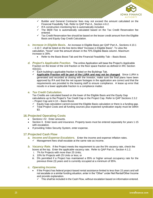

- $\checkmark$  Builder and General Contractor fees may not exceed the amount calculated on the Financial Feasibility Tab. Refer to QAP Part A., Section 4.6.2.
- $\checkmark$  IFA construction monitoring fee is automatically included.
- $\checkmark$  The 8609 Fee is automatically calculated based on the Tax Credit Reservation fee entered.
- ✓ Tax Credit Reservation fee should be based on the lesser credit amount from the Eligible Basis and Equity Gap Credit Calculation.
- *c. Increase in Eligible Basis.* An increase in Eligible Basis per QAP Part A., Sections 4.10.1 – 4.10.7, shall be listed on the line items titled "Increase in Eligible Basis". To view the calculation, "hover" over the amount shown in the 70% Eligible Basis column. Maximum increase is 30%.
	- Refer to the Basis Boost Tab and the Financial Feasibility Tab Basis Boost.
- *d. Project's Applicable Fraction.* The online Application will base the Project's Applicable Fraction on the lesser of the Unit fraction or the floor space fraction as defined in IRC Section 42(c)(1).
	- $\checkmark$  Each building's applicable fraction is listed on the Buildings Tab.
	- ✓ **Applicable Fraction will be part of the LURA and may not be changed**. Since LURA is generated and recorded at closing with the investor, make sure the final plans have been approved by IFA and that the net square footages in the application are correct and that the requirements are provided to the leasing staff to ensure compliance. A lease up error that results in a lower applicable fraction is a compliance matter.

# *e. Tax Credit Calculation.*

Tax Credits are calculated based on the lower of the Eligible Basis and the Equity Gap calculations up to the Project's Tax Credit Cap or the Project Cap. Refer to QAP Sections 2.3.2 – Project Cap and 4.10 – Basis Boost.

- $\checkmark$  Equity Gap calculation cannot exceed the Eligible Basis calculation or there is a funding gap.
- ✓ Total Project Costs and all funding sources plus expected syndication equity must be within \$3.

#### <span id="page-25-0"></span>**16.Projected Operating Costs**

- Sections I-IV. Enter amounts.
- Section II. Enter taxes and insurance. Property taxes must be entered separately for years 1-15 with escalation.
- If providing Video Security System, enter expense.

#### <span id="page-25-1"></span>**17.Projected Cash Flow**

- *a. Income and Expense Escalators.* Enter the income and expense inflation rates.
	- $\checkmark$  Management fees shall escalate at the same rate as income.
- *b. Vacancy Rate.* If the Project meets the requirement to use the 5% vacancy rate, check the boxes at the top. Enter the applicable vacancy rate. Refer to QAP Part A., Section 4.1.2.
	- i. 7% for Projects with more than 25 Units;
	- ii. 10% for Projects with 25 Units or less; or
	- iii. 5% permitted if a Project has maintained a 95% or higher annual occupancy rate for the previous three (3) years and is currently occupied at a minimum of 95%.

#### *c. Operating Income.*

- If the Project has federal project-based rental assistance limited to less than 15 years and will not escalate or a similar funding situation, enter in the "Other" under Net Rental/Other Income and provide explanation.
	- $\checkmark$  This shall be included in the Cash Flow, without escalation based on information entered.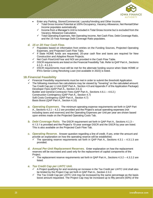

- Enter any Parking, Stores/Commercial, Laundry/Vending and Other Income.
	- $\checkmark$  Total Gross Income Potential at 100% Occupancy, Vacancy Allowance, Net Rental/Other Income populates automatically.
	- $\checkmark$  Income from a Manager's Unit is included in Total Gross Income but is excluded from the Vacancy Allowance Calculation.
	- ✓ Total Operating Expenses, Net Operating Income, Net Cash Flow, Debt Coverage Ratio, and the 15-Year Average Debt Coverage Ratio populates.

#### *d. 15 or 20-Year Cash Flow.*

- ✓ Populates based on information from entries on the Funding Sources, Projected Operating Expenses, and Projected Cash Flow Tabs.
- ✓ If State HOME funds are requested, 20-year cash flow and taxes are required for New Construction and Adaptive Reuse Projects.
- ✓ Net Cash Flow/Unit/Year and NOI are provided in the Cash Flow Table.
- $\checkmark$  DSCR requirements are listed on the Financial Feasibility Tab. Refer to QAP Part A., Sections 4.1.3 - 4.1.3.1.
- ✓ DSCR requirements must still be met for the alternate funding source when State HOME or IFA's Senior Living Revolving Loan (not available in 2022) is listed.

# <span id="page-26-0"></span>**18.Financial Feasibility**

- $\checkmark$  Financial Feasibility requirements must be met in order to submit the threshold Application.
- $\checkmark$  The following maximum fee calculations may be viewed by "hovering" on the calculated amount: Tax Credit Cap per LI Unit (QAP Part A., Section 4.9 and Appendix F of the Application Package) Developer Fees (QAP Part A., Section 4.6.1) Builder and General Contractor Fees (QAP Part A., Sections 4.6.1 – 4.6.2.) Construction Contingency (QAP Part A., Section 4.7) Soft Costs Contingency (QAP Part A., Section 4.7) Basis Boost (QAP Part A., Section 4.10)
- *a. Operating Expenses.* The minimum operating expense requirements set forth in QAP Part A., Sections 4.2.1 – 4.2.2 are provided and the Project's actual operating expenses (not including taxes and reserves) and the Operating Expenses per Unit per year are shown based upon entries made on the Projected Operating Costs Tab.
- *b. Debt Coverage Ratio.* The DSCR requirement set forth in QAP Part A., Sections 4.1.3 4.1.3.1 is provided and the Project's 15-year average DSCR and the DSCR by year are listed. This is also available on the Projected Cash Flow Tab.
- *c. Operating Reserve.* Answer question regarding a line of credit. If yes, enter the amount and provide an explanation on how the operating reserve will be established.
	- The operating reserve requirements set forth in QAP Part A., Sections  $4.3.1 4.3.1.3$  are provided.
- *d. Annual Per-Unit Replacement Reserves.* Enter explanation on how the replacement reserves will be escrowed and used only for the replacement of capital components of the Project.
	- The replacement reserve requirements set forth in QAP Part A., Sections  $4.3.2 4.3.2.2$  are listed.

#### *e. Tax Credit Cap per LIHTC Unit.*

- ✓ A Project qualifying for and receiving an increase in the Tax Credit per LIHTC Unit shall also be limited by the Project Cap set forth in QAP Part A., Section 2.3.2.
- $\checkmark$  The Tax Credit Cap per LIHTC Unit may be increased by the same percentage as the basis boost amount requested. The Project Cap may be increased up to fifty percent (50%) of the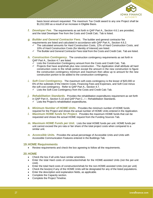

basis boost amount requested. The maximum Tax Credit award to any one Project shall be \$1,012,000 as a result of an increase in Eligible Basis.

- *f. Developer Fee.* The requirements as set forth in QAP Part A., Section 4.6.1 are provided, and the total Developer Fee from the Costs and Credit Calc. Tab is listed.
- *g. Builder and General Contractor Fees.* The builder and general contractor fee requirements are listed and calculated in accordance with QAP Part A., Section 4.6.2.
	- The calculated amounts for Hard Construction Costs, 12% of Hard Construction Costs, and 10% of Hard Construction Costs (for Identity of Interest) are listed.
	- $\checkmark$  The Builder and General Contractor Fees total from the Costs and Credit Calc. Tab are listed.
- *h. Construction Contingency.* The construction contingency requirements as set forth in QAP Part A., Section 4.7 are listed.
	- $\checkmark$  Lists the Construction Contingency amount from the Costs and Credit Calc. Tab.
	- ✓ Projects that have acq/rehab plus new construction The Application shall attribute all hard construction costs to the rehab portion except the amount in the new construction to figure the construction contingency minimum and maximum then allow up to amount for the new construction portion to be added to the construction contingency.
- *i. Soft Cost Contingency.* The maximum soft costs contingency is the lesser of \$20,000 or 6% of the subtotals of the Interim Costs, Financing Fees and Expenses, and Soft Cost minus the soft cost contingency. Refer to QAP Part A., Section 4.7.
	- ✓ Lists the Soft Cost Contingency from the Costs and Credit Calc Tab.
- *j. Rehabilitation Standards.* Provides the rehabilitation expenditures requirement as set forth in QAP Part A., Section 5.10 and QAP Part C., I – Rehabilitation Standards.  $\checkmark$  Lists the Project's rehabilitation expenditures.
- *k. Minimum Number of HOME Units.* Provides the minimum number of HOME funds required for the Project and shows the actual number of HOME Units entered in the Application.
- *l. Maximum HOME funds for Project.* Provides the maximum HOME funds that can be requested and shows the actual HOME request from the Funding Sources Tab*.*
- *m. Maximum HOME Funds per Unit.* Lists the total HOME funds per unit. HOME funds per unit cannot exceed the pro rata or fair share of the total project costs when compared to a similar unit.
- *n. Accessible Units.* Provides the actual percentage of Accessible Units and Units with Accessible Communication Features entered in the Buildings Tab*.*

#### <span id="page-27-0"></span>**19.HOME Requirements**

• Review requirements and check the box agreeing to follow all the requirements.

#### <span id="page-27-1"></span>**20.HOME**

- Check the box if all units have similar amenities.
- Enter the total Hard costs of construction/rehab for the HOME-assisted Units (not the per-unit cost).
- Enter the total Hard costs of construction/rehab for the non-HOME-assisted Units (not per unit)
- Check the box(es) if any of the HOME Units will be designated for any of the listed populations.
- Enter the description and explanation fields, as applicable.
- Complete the Capacity section.
- Complete the Project Timeline.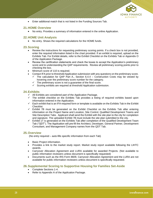

• Enter additional match that is not listed in the Funding Sources Tab.

# <span id="page-28-0"></span>**21.HOME Overview**

• No entry. Provides a summary of information entered in the online Application.

# <span id="page-28-1"></span>**22.HOME Unit Analysis**

• No entry. Shows the required calculations for the HOME funds.

# <span id="page-28-2"></span>**23.Scoring**

- Review the instructions for requesting preliminary scoring points. If a check box is not provided, enter the required information listed in the chart provided. If an exhibit is required, upload on the Exhibits Tab. For Exhibit details, refer to the Exhibit Checklist on the Exhibits Tab or Appendix O of the Application Package.
- Review the certification statements and check the boxes to accept the Application's preliminary score and to understanding the QAP requirements. Review all preliminary scoring points prior to checking the box.
- Minimum score of 110 is required.
- Contact IFA prior to threshold Application submission with any questions on the preliminary score.
	- $\checkmark$  The calculation for QAP Part A., Section 6.4.4 Construction Costs may be viewed by hovering over the preliminary score number for the category.
		- $\checkmark$  The preliminary score is not a guarantee of the final score.
		- $\checkmark$  Scoring exhibits are required at threshold Application submission.

#### <span id="page-28-3"></span>**24.Exhibits**

- $\checkmark$  All Exhibits are considered part of the Application Package.
- $\checkmark$  The exhibit checklist on the Exhibits Tab provides a listing of required exhibits based upon information entered in the Application.
- $\checkmark$  Each exhibit that is an IFA-required form or template is available on the Exhibits Tab in the Exhibit Checklist.
- ✓ Exhibit 7B must be generated on the Exhibit Checklist on the Exhibits Tab after entering information on the Project Name and Location, Site Control, Qualified Development Teams and Site Description Tabs. Applicant shall send the Exhibit with the site plan to the city for completion and signature. The uploaded Exhibit 7B must include the site plan submitted to the city.
- $\checkmark$  Exhibit 1T is generated on the Exhibits Tab after completion of the Qualified Development Team Tab ("QDT"). The Application will pre-fill the Architect, Developer, General Partner, Development Consultant, and Management Company names from the QDT Tab.

#### <span id="page-28-4"></span>**25.Overview**

(No entry required – auto-fills specific information from each Tab)

- Basic Project information.
- Provides a link to the market study report. Market study report available following the LIHTC awards.
- Carryover Allocation Agreement and LURA available for awarded Projects. (Not available to public information reviewers unless document is specifically requested)
- Documents such as the IRS Form 8609, Carryover Allocation Agreement and the LURA are not available for public information reviewers unless document is specifically requested.

# <span id="page-28-5"></span>**26.Supplemental Scoring to Supportive Housing for Families Set-Aside**

- Complete Sections 1-4.
- Refer to Appendix A of the Application Package.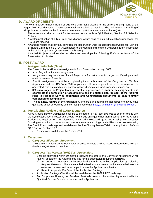

# <span id="page-29-0"></span>**D. AWARD OF CREDITS**

The Iowa Finance Authority Board of Directors shall make awards for the current funding round at the August 2022 Board meeting. A rankmaster shall be available at that time. The rankmaster is a ranking of all Applicants based upon the final score determined by IFA in accordance with the QAP.

- $\checkmark$  The rankmaster shall account for tiebreakers as set forth in QAP Part A., Section 7.2 Selection Criteria.
- $\checkmark$  A written notification of a Tax Credit award or non-award shall be emailed to each Applicant after the IFA Board Meeting.
- $\checkmark$  Awarded Projects shall have 30 days from the Reservation Date to submit the reservation fee. Exhibits 14Ta and 14Tb, Exhibit 1-AA (Award letter Acknowledgement) and the Ownership Entity information in the online Application (Reservation Application).
- ✓ Awarded Projects shall receive an electronic award packet following IFA's acceptance of the Reservation Application.

# <span id="page-29-2"></span><span id="page-29-1"></span>**E. POST AWARD**

# **1. Assignments Tab (New)**

The Project's team will receive assignments from Reservation through 8609.

- A red flag will indicate an assignment.
- Assignments may be viewed for all Projects or for just a specific project for Developers with multiple awarded Projects.
- Specific assignments must be completed prior to submission of the Carryover 10% Test Application and the IRS Form 8609 Application. If not completed, an error message will be generated. The outstanding assignment will need completed for Application submission.
- **IFA encourages the Project team to establish a procedure to monitor the assignments and coordinate the completion of assignments and the submission (upload) of the required Prior to Placed-in-Service documents and Construction documents to ensure timely completion of assignments**.
- **This is a new feature of the Application**. If there's an assignment that appears that you have questions about or feel may be incorrect, please email [Stacy.Cunningham@iowafinance.com.](mailto:Stacy.Cunningham@iowafinance.com)

# <span id="page-29-3"></span>**2. Pre-Closing Review and LURA Issuance**

A Pre-Closing Review Application shall be submitted to IFA at least two weeks prior to closing with the Syndicator/Direct Investor and should not include changes other than those for the Pre-Closing Review and required for LURA issuance. Awarded Projects will go to Pre-Closing Review status following reservation of credits. Instructions for the current funding round will be posted to the Housing Tax Credit Round webpage and available on the Pre-Closing Review Tab in the Application. Refer to QAP Part A., Section 8.6.1.

• Exhibits are available on the Exhibits Tab.

#### <span id="page-29-4"></span>**3. Carryover**

#### *a. Carryover Allocation Agreement.*

The Carryover Allocation Agreement for awarded Projects shall be issued in accordance with the timeline in QAP Part A., Section 1.1.1.

- *b. Carryover-Ten Percent (10%) Test Application.*
	- Shall be submitted within 10 months following the date of the Carryover Agreement. A red flag will appear on the Assignments Tab for this submission requirement **(New)**.
		- $\checkmark$  An extension request may be submitted through the online Application by selecting Request Extension. The late submission fee invoice is created with the submission of the extension request and must be paid before the Application submittal.
		- $\checkmark$  Refer to Appendix C Fees of the Application Package.
	- Application Package Checklist will be available on the 2022 LIHTC webpage.
	- For Supportive Housing for Families Set-Aside awards, the written Agreement with the Qualified Service Provider is required in the Application.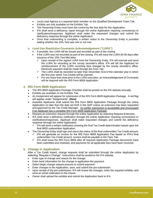

- Local Lead Agency is a required team member on the Qualified Development Team Tab.
- Exhibits are only available on the Exhibits Tab.
- The Ownership Entity must have site control by the due date for this Application.
- IFA shall send a deficiency report through the online Application requiring correction(s) or clarifications/responses. Applicant shall make the requested changes and submit the deficiency response through the online Application.
- Once final underwriting is complete, a written notice to the Ownership Entity is provided stating whether the 10% Test was met or not met.

#### *c. Land Use Restrictive Covenants Acknowledgement ("LURA").*

- If possible, the LURA will be issued and recorded as part of the closing.
- If the LURA was not recorded as part of the closing, IFA will issue the LURA 60-90 days after issuance of the 10% Test Met letter.
	- Upon receipt of the signed LURA from the Ownership Entity, IFA will execute and send the LURA for recording at the county recorder's office. IFA will bill the Applicant for reimbursement of the LURA recording fees charged by the county recorder's office. Electronic payment shall be made through the Fees Tab.
	- $\checkmark$  The LURA shall be recorded no later than December 31st of the calendar year in which the first year which Tax Credits will be claimed.
	- $\checkmark$  For any loans that close prior to the LURA execution, an Acknowledgement of Covenants will be required with the IRS Form 8609 Application.

#### <span id="page-30-0"></span>**4. IRS Form 8609 Application**

- The IRS 8609 Application Package Checklist shall be posted on the IFA website annually.
- Exhibits are available on the Exhibits Tab.
- An Assignment will appear for submission of the IRS Form 8609 Application Package. A red flag will appear under "Assignments". **(New)**
- Awarded Applicants shall submit the IRS Form 8609 Application Package through the online Application no later than the date set forth in the QAP unless an extension has been requested and approved by the Tax Credit Manager. An earlier submission is acceptable and encouraged if an Applicant has a complete IRS Form 8609 Application Package.
- Request an extension request through the online Application by selecting Request Extension.
- IFA shall send a deficiency notification through the online Application requiring correction(s) or clarifications/responses. Applicant shall make requested changes and submit the deficiency response through the online Application.
	- $\checkmark$  IFA will send a written notification showing the final Tax Credit determination based upon the final 8609 underwritten Application.
- The Ownership Entity shall sign and return the notice of the final underwritten Tax Credit amount. IFA will generate an invoice for the IRS Form 8609 Application Fee based on IFA's final underwritten Tax Credit amount. Invoice shall be payable in the Fees Tab.
	- IFA shall issue the IRS Form 8609 after all required Application Package documents have been submitted and reviewed, and payments for all applicable fees have been received.

# <span id="page-30-1"></span>**5. Change in Application**

After a Tax Credit Award, change requests shall be submitted through the online Application by selecting "Request a Change". Instructions shall be posted to the IFA website.

- Enter type of change and reason for the change.
- Enter bank information for the change in application fee payment.
- Select begin change request process to submit payment.
- Enter changes in the Application, save, and submit the pre-submission.<br>  $\checkmark$  Upon receipt of the pre-submission. IFA will review the changes enter the
- Upon receipt of the pre-submission, IFA will review the changes, enter the required exhibits, and send an email notification to the Owner.
- Owner shall upload the exhibits and submit the Application back to IFA.